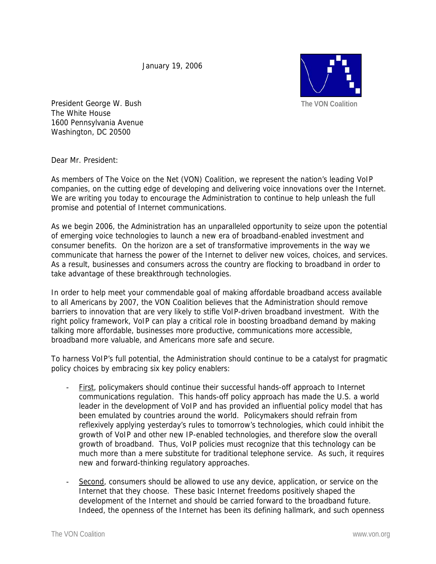January 19, 2006



President George W. Bush The White House 1600 Pennsylvania Avenue Washington, DC 20500

Dear Mr. President:

As members of The Voice on the Net (VON) Coalition, we represent the nation's leading VoIP companies, on the cutting edge of developing and delivering voice innovations over the Internet. We are writing you today to encourage the Administration to continue to help unleash the full promise and potential of Internet communications.

As we begin 2006, the Administration has an unparalleled opportunity to seize upon the potential of emerging voice technologies to launch a new era of broadband-enabled investment and consumer benefits. On the horizon are a set of transformative improvements in the way we communicate that harness the power of the Internet to deliver new voices, choices, and services. As a result, businesses and consumers across the country are flocking to broadband in order to take advantage of these breakthrough technologies.

In order to help meet your commendable goal of making affordable broadband access available to all Americans by 2007, the VON Coalition believes that the Administration should remove barriers to innovation that are very likely to stifle VoIP-driven broadband investment. With the right policy framework, VoIP can play a critical role in boosting broadband demand by making talking more affordable, businesses more productive, communications more accessible, broadband more valuable, and Americans more safe and secure.

To harness VoIP's full potential, the Administration should continue to be a catalyst for pragmatic policy choices by embracing six key policy enablers:

- First, policymakers should continue their successful hands-off approach to Internet communications regulation. This hands-off policy approach has made the U.S. a world leader in the development of VoIP and has provided an influential policy model that has been emulated by countries around the world. Policymakers should refrain from reflexively applying yesterday's rules to tomorrow's technologies, which could inhibit the growth of VoIP and other new IP-enabled technologies, and therefore slow the overall growth of broadband. Thus, VoIP policies must recognize that this technology can be much more than a mere substitute for traditional telephone service. As such, it requires new and forward-thinking regulatory approaches.
- Second, consumers should be allowed to use any device, application, or service on the Internet that they choose. These basic Internet freedoms positively shaped the development of the Internet and should be carried forward to the broadband future. Indeed, the openness of the Internet has been its defining hallmark, and such openness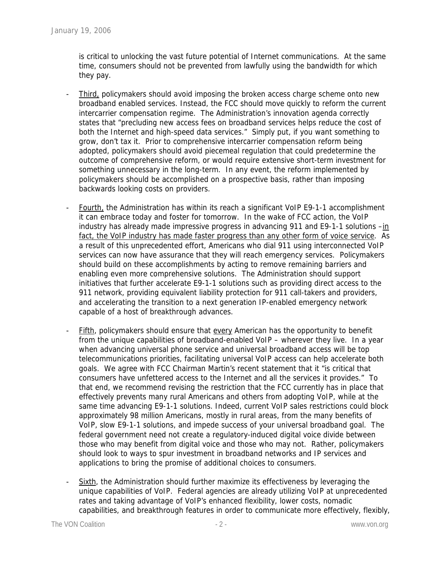is critical to unlocking the vast future potential of Internet communications. At the same time, consumers should not be prevented from lawfully using the bandwidth for which they pay.

- Third, policymakers should avoid imposing the broken access charge scheme onto new broadband enabled services. Instead, the FCC should move quickly to reform the current intercarrier compensation regime. The Administration's innovation agenda correctly states that "precluding new access fees on broadband services helps reduce the cost of both the Internet and high-speed data services." Simply put, if you want something to grow, don't tax it. Prior to comprehensive intercarrier compensation reform being adopted, policymakers should avoid piecemeal regulation that could predetermine the outcome of comprehensive reform, or would require extensive short-term investment for something unnecessary in the long-term. In any event, the reform implemented by policymakers should be accomplished on a prospective basis, rather than imposing backwards looking costs on providers.
- Fourth, the Administration has within its reach a significant VoIP E9-1-1 accomplishment it can embrace today and foster for tomorrow. In the wake of FCC action, the VoIP industry has already made impressive progress in advancing 911 and E9-1-1 solutions  $-\underline{\text{in}}$ fact, the VoIP industry has made faster progress than any other form of voice service. As a result of this unprecedented effort, Americans who dial 911 using interconnected VoIP services can now have assurance that they will reach emergency services. Policymakers should build on these accomplishments by acting to remove remaining barriers and enabling even more comprehensive solutions. The Administration should support initiatives that further accelerate E9-1-1 solutions such as providing direct access to the 911 network, providing equivalent liability protection for 911 call-takers and providers, and accelerating the transition to a next generation IP-enabled emergency network capable of a host of breakthrough advances.
- Fifth, policymakers should ensure that every American has the opportunity to benefit from the unique capabilities of broadband-enabled VoIP – wherever they live. In a year when advancing universal phone service and universal broadband access will be top telecommunications priorities, facilitating universal VoIP access can help accelerate both goals. We agree with FCC Chairman Martin's recent statement that it "is critical that consumers have unfettered access to the Internet and all the services it provides." To that end, we recommend revising the restriction that the FCC currently has in place that effectively prevents many rural Americans and others from adopting VoIP, while at the same time advancing E9-1-1 solutions. Indeed, current VoIP sales restrictions could block approximately 98 million Americans, mostly in rural areas, from the many benefits of VoIP, slow E9-1-1 solutions, and impede success of your universal broadband goal. The federal government need not create a regulatory-induced digital voice divide between those who may benefit from digital voice and those who may not. Rather, policymakers should look to ways to spur investment in broadband networks and IP services and applications to bring the promise of additional choices to consumers.
- Sixth, the Administration should further maximize its effectiveness by leveraging the unique capabilities of VoIP. Federal agencies are already utilizing VoIP at unprecedented rates and taking advantage of VoIP's enhanced flexibility, lower costs, nomadic capabilities, and breakthrough features in order to communicate more effectively, flexibly,